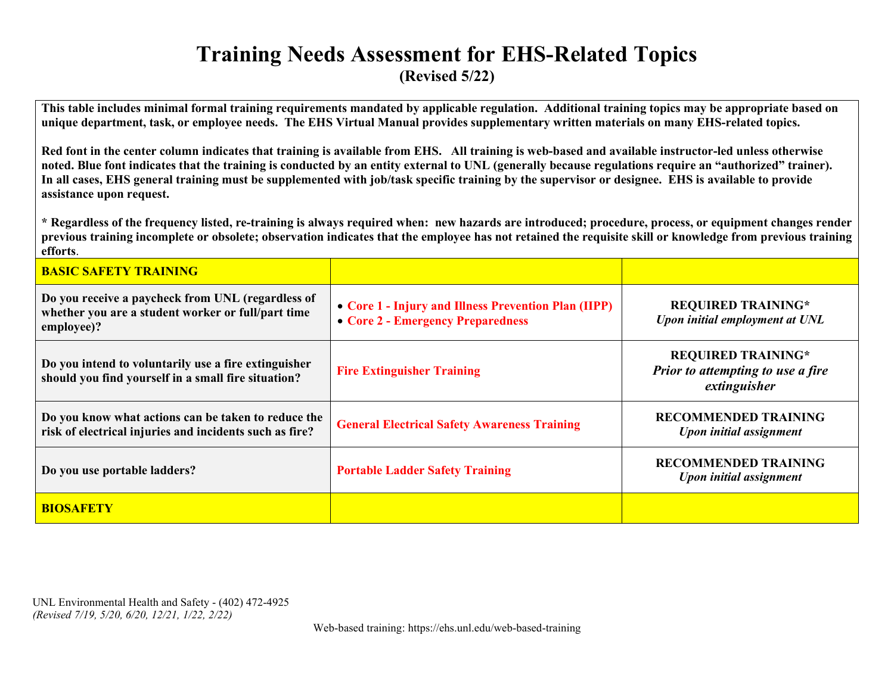## **Training Needs Assessment for EHS-Related Topics (Revised 5/22)**

**This table includes minimal formal training requirements mandated by applicable regulation. Additional training topics may be appropriate based on unique department, task, or employee needs. The EHS Virtual Manual provides supplementary written materials on many EHS-related topics.** 

**Red font in the center column indicates that training is available from EHS. All training is web-based and available instructor-led unless otherwise noted. Blue font indicates that the training is conducted by an entity external to UNL (generally because regulations require an "authorized" trainer). In all cases, EHS general training must be supplemented with job/task specific training by the supervisor or designee. EHS is available to provide assistance upon request.** 

**\* Regardless of the frequency listed, re-training is always required when: new hazards are introduced; procedure, process, or equipment changes render previous training incomplete or obsolete; observation indicates that the employee has not retained the requisite skill or knowledge from previous training efforts**.

| <b>BASIC SAFETY TRAINING</b>                                                                                          |                                                                                           |                                                                                |
|-----------------------------------------------------------------------------------------------------------------------|-------------------------------------------------------------------------------------------|--------------------------------------------------------------------------------|
| Do you receive a paycheck from UNL (regardless of<br>whether you are a student worker or full/part time<br>employee)? | • Core 1 - Injury and Illness Prevention Plan (IIPP)<br>• Core 2 - Emergency Preparedness | <b>REQUIRED TRAINING*</b><br>Upon initial employment at UNL                    |
| Do you intend to voluntarily use a fire extinguisher<br>should you find yourself in a small fire situation?           | <b>Fire Extinguisher Training</b>                                                         | <b>REQUIRED TRAINING*</b><br>Prior to attempting to use a fire<br>extinguisher |
| Do you know what actions can be taken to reduce the<br>risk of electrical injuries and incidents such as fire?        | <b>General Electrical Safety Awareness Training</b>                                       | <b>RECOMMENDED TRAINING</b><br><b>Upon initial assignment</b>                  |
| Do you use portable ladders?                                                                                          | <b>Portable Ladder Safety Training</b>                                                    | <b>RECOMMENDED TRAINING</b><br>Upon initial assignment                         |
| <b>BIOSAFETY</b>                                                                                                      |                                                                                           |                                                                                |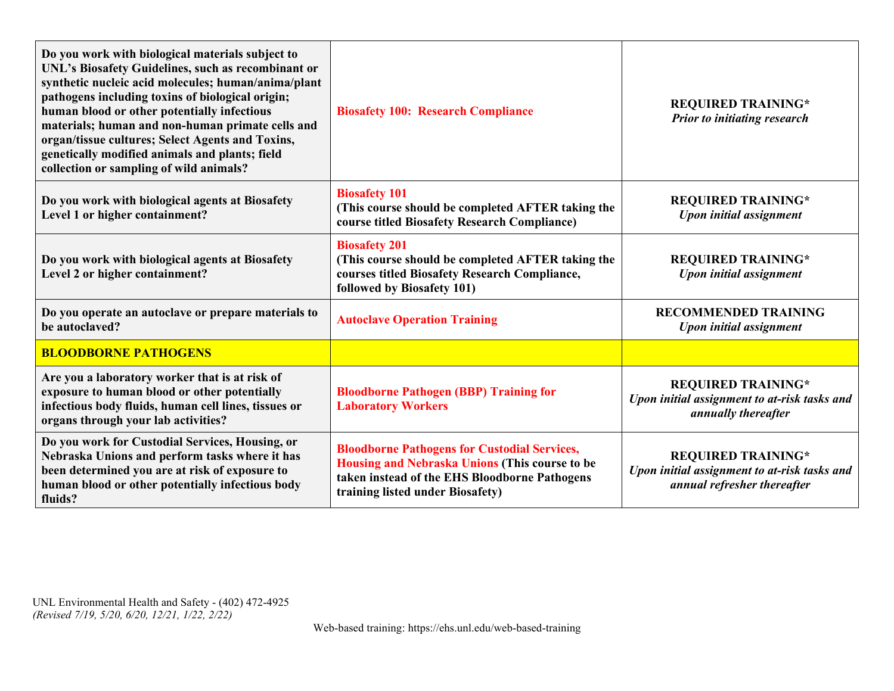| Do you work with biological materials subject to<br>UNL's Biosafety Guidelines, such as recombinant or<br>synthetic nucleic acid molecules; human/anima/plant<br>pathogens including toxins of biological origin;<br>human blood or other potentially infectious<br>materials; human and non-human primate cells and<br>organ/tissue cultures; Select Agents and Toxins,<br>genetically modified animals and plants; field<br>collection or sampling of wild animals? | <b>Biosafety 100: Research Compliance</b>                                                                                                                                                  | <b>REQUIRED TRAINING*</b><br><b>Prior to initiating research</b>                                         |
|-----------------------------------------------------------------------------------------------------------------------------------------------------------------------------------------------------------------------------------------------------------------------------------------------------------------------------------------------------------------------------------------------------------------------------------------------------------------------|--------------------------------------------------------------------------------------------------------------------------------------------------------------------------------------------|----------------------------------------------------------------------------------------------------------|
| Do you work with biological agents at Biosafety<br>Level 1 or higher containment?                                                                                                                                                                                                                                                                                                                                                                                     | <b>Biosafety 101</b><br>(This course should be completed AFTER taking the<br>course titled Biosafety Research Compliance)                                                                  | <b>REQUIRED TRAINING*</b><br><b>Upon initial assignment</b>                                              |
| Do you work with biological agents at Biosafety<br>Level 2 or higher containment?                                                                                                                                                                                                                                                                                                                                                                                     | <b>Biosafety 201</b><br>(This course should be completed AFTER taking the<br>courses titled Biosafety Research Compliance,<br>followed by Biosafety 101)                                   | <b>REQUIRED TRAINING*</b><br><b>Upon initial assignment</b>                                              |
| Do you operate an autoclave or prepare materials to<br>be autoclaved?                                                                                                                                                                                                                                                                                                                                                                                                 | <b>Autoclave Operation Training</b>                                                                                                                                                        | <b>RECOMMENDED TRAINING</b><br><b>Upon initial assignment</b>                                            |
| <b>BLOODBORNE PATHOGENS</b>                                                                                                                                                                                                                                                                                                                                                                                                                                           |                                                                                                                                                                                            |                                                                                                          |
| Are you a laboratory worker that is at risk of<br>exposure to human blood or other potentially<br>infectious body fluids, human cell lines, tissues or<br>organs through your lab activities?                                                                                                                                                                                                                                                                         | <b>Bloodborne Pathogen (BBP) Training for</b><br><b>Laboratory Workers</b>                                                                                                                 | <b>REQUIRED TRAINING*</b><br>Upon initial assignment to at-risk tasks and<br>annually thereafter         |
| Do you work for Custodial Services, Housing, or<br>Nebraska Unions and perform tasks where it has<br>been determined you are at risk of exposure to<br>human blood or other potentially infectious body<br>fluids?                                                                                                                                                                                                                                                    | <b>Bloodborne Pathogens for Custodial Services,</b><br>Housing and Nebraska Unions (This course to be<br>taken instead of the EHS Bloodborne Pathogens<br>training listed under Biosafety) | <b>REQUIRED TRAINING*</b><br>Upon initial assignment to at-risk tasks and<br>annual refresher thereafter |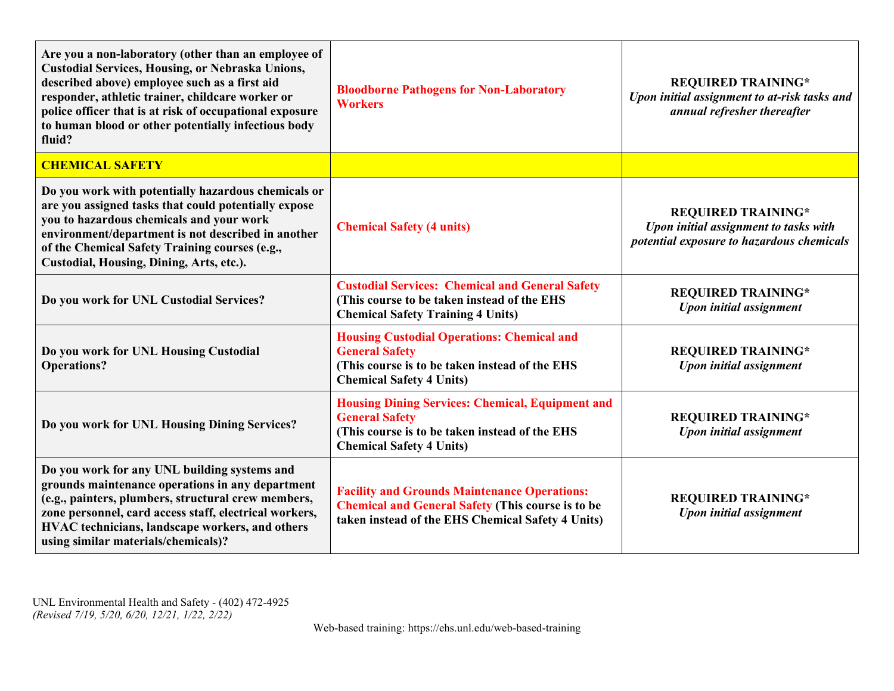| Are you a non-laboratory (other than an employee of<br><b>Custodial Services, Housing, or Nebraska Unions,</b><br>described above) employee such as a first aid<br>responder, athletic trainer, childcare worker or<br>police officer that is at risk of occupational exposure<br>to human blood or other potentially infectious body<br>fluid? | <b>Bloodborne Pathogens for Non-Laboratory</b><br><b>Workers</b>                                                                                                      | <b>REQUIRED TRAINING*</b><br>Upon initial assignment to at-risk tasks and<br>annual refresher thereafter        |
|-------------------------------------------------------------------------------------------------------------------------------------------------------------------------------------------------------------------------------------------------------------------------------------------------------------------------------------------------|-----------------------------------------------------------------------------------------------------------------------------------------------------------------------|-----------------------------------------------------------------------------------------------------------------|
| <b>CHEMICAL SAFETY</b>                                                                                                                                                                                                                                                                                                                          |                                                                                                                                                                       |                                                                                                                 |
| Do you work with potentially hazardous chemicals or<br>are you assigned tasks that could potentially expose<br>you to hazardous chemicals and your work<br>environment/department is not described in another<br>of the Chemical Safety Training courses (e.g.,<br>Custodial, Housing, Dining, Arts, etc.).                                     | <b>Chemical Safety (4 units)</b>                                                                                                                                      | <b>REQUIRED TRAINING*</b><br>Upon initial assignment to tasks with<br>potential exposure to hazardous chemicals |
| Do you work for UNL Custodial Services?                                                                                                                                                                                                                                                                                                         | <b>Custodial Services: Chemical and General Safety</b><br>(This course to be taken instead of the EHS<br><b>Chemical Safety Training 4 Units)</b>                     | <b>REQUIRED TRAINING*</b><br><b>Upon initial assignment</b>                                                     |
| Do you work for UNL Housing Custodial<br><b>Operations?</b>                                                                                                                                                                                                                                                                                     | <b>Housing Custodial Operations: Chemical and</b><br><b>General Safety</b><br>(This course is to be taken instead of the EHS<br><b>Chemical Safety 4 Units)</b>       | <b>REQUIRED TRAINING*</b><br><b>Upon initial assignment</b>                                                     |
| Do you work for UNL Housing Dining Services?                                                                                                                                                                                                                                                                                                    | <b>Housing Dining Services: Chemical, Equipment and</b><br><b>General Safety</b><br>(This course is to be taken instead of the EHS<br><b>Chemical Safety 4 Units)</b> | <b>REQUIRED TRAINING*</b><br><b>Upon initial assignment</b>                                                     |
| Do you work for any UNL building systems and<br>grounds maintenance operations in any department<br>(e.g., painters, plumbers, structural crew members,<br>zone personnel, card access staff, electrical workers,<br>HVAC technicians, landscape workers, and others<br>using similar materials/chemicals)?                                     | <b>Facility and Grounds Maintenance Operations:</b><br><b>Chemical and General Safety (This course is to be</b><br>taken instead of the EHS Chemical Safety 4 Units)  | <b>REQUIRED TRAINING*</b><br><b>Upon initial assignment</b>                                                     |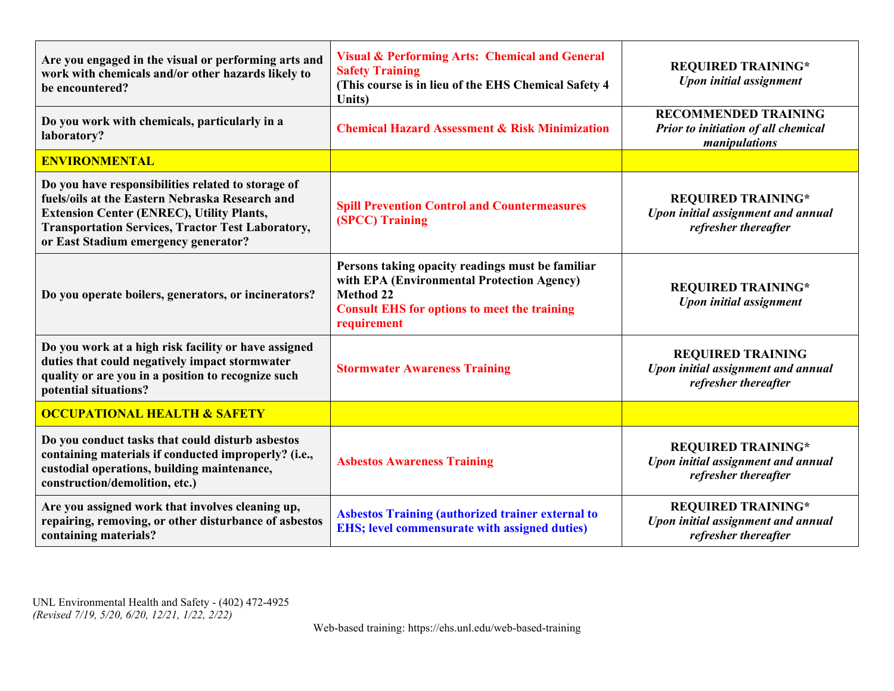| Are you engaged in the visual or performing arts and<br>work with chemicals and/or other hazards likely to<br>be encountered?                                                                                                                                 | <b>Visual &amp; Performing Arts: Chemical and General</b><br><b>Safety Training</b><br>(This course is in lieu of the EHS Chemical Safety 4<br>Units)                                    | <b>REQUIRED TRAINING*</b><br><b>Upon initial assignment</b>                             |
|---------------------------------------------------------------------------------------------------------------------------------------------------------------------------------------------------------------------------------------------------------------|------------------------------------------------------------------------------------------------------------------------------------------------------------------------------------------|-----------------------------------------------------------------------------------------|
| Do you work with chemicals, particularly in a<br>laboratory?                                                                                                                                                                                                  | <b>Chemical Hazard Assessment &amp; Risk Minimization</b>                                                                                                                                | <b>RECOMMENDED TRAINING</b><br>Prior to initiation of all chemical<br>manipulations     |
| <b>ENVIRONMENTAL</b>                                                                                                                                                                                                                                          |                                                                                                                                                                                          |                                                                                         |
| Do you have responsibilities related to storage of<br>fuels/oils at the Eastern Nebraska Research and<br><b>Extension Center (ENREC), Utility Plants,</b><br><b>Transportation Services, Tractor Test Laboratory,</b><br>or East Stadium emergency generator? | <b>Spill Prevention Control and Countermeasures</b><br><b>(SPCC) Training</b>                                                                                                            | <b>REQUIRED TRAINING*</b><br>Upon initial assignment and annual<br>refresher thereafter |
| Do you operate boilers, generators, or incinerators?                                                                                                                                                                                                          | Persons taking opacity readings must be familiar<br>with EPA (Environmental Protection Agency)<br><b>Method 22</b><br><b>Consult EHS for options to meet the training</b><br>requirement | <b>REQUIRED TRAINING*</b><br><b>Upon initial assignment</b>                             |
| Do you work at a high risk facility or have assigned<br>duties that could negatively impact stormwater<br>quality or are you in a position to recognize such<br>potential situations?                                                                         | <b>Stormwater Awareness Training</b>                                                                                                                                                     | <b>REQUIRED TRAINING</b><br>Upon initial assignment and annual<br>refresher thereafter  |
| <b>OCCUPATIONAL HEALTH &amp; SAFETY</b>                                                                                                                                                                                                                       |                                                                                                                                                                                          |                                                                                         |
| Do you conduct tasks that could disturb asbestos<br>containing materials if conducted improperly? (i.e.,<br>custodial operations, building maintenance,<br>construction/demolition, etc.)                                                                     | <b>Asbestos Awareness Training</b>                                                                                                                                                       | <b>REQUIRED TRAINING*</b><br>Upon initial assignment and annual<br>refresher thereafter |
| Are you assigned work that involves cleaning up,<br>repairing, removing, or other disturbance of asbestos<br>containing materials?                                                                                                                            | <b>Asbestos Training (authorized trainer external to</b><br><b>EHS</b> ; level commensurate with assigned duties)                                                                        | <b>REQUIRED TRAINING*</b><br>Upon initial assignment and annual<br>refresher thereafter |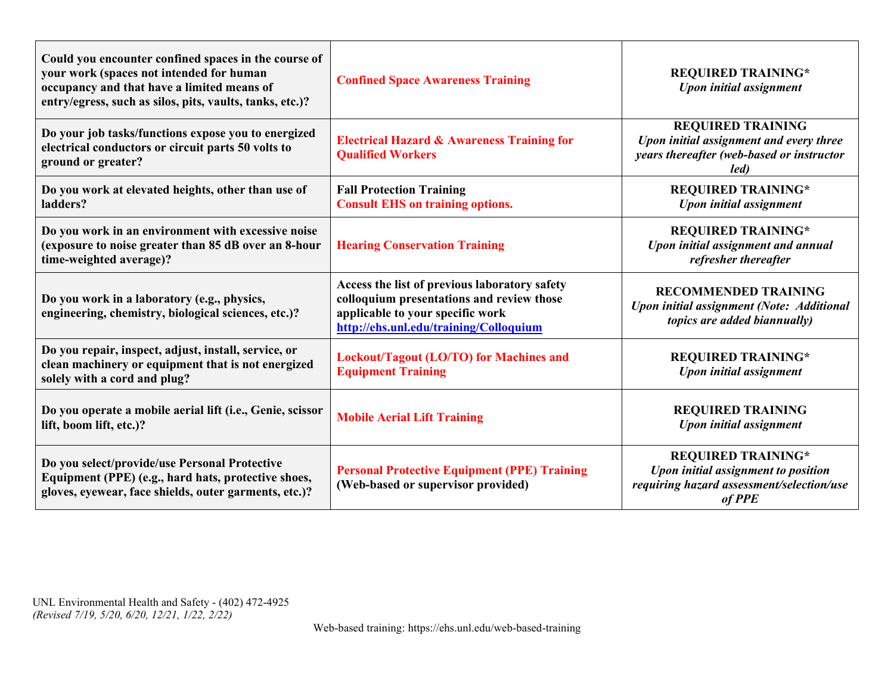| Could you encounter confined spaces in the course of<br>your work (spaces not intended for human<br>occupancy and that have a limited means of<br>entry/egress, such as silos, pits, vaults, tanks, etc.)? | <b>Confined Space Awareness Training</b>                                                                                                                                 | <b>REQUIRED TRAINING*</b><br><b>Upon initial assignment</b>                                                                    |
|------------------------------------------------------------------------------------------------------------------------------------------------------------------------------------------------------------|--------------------------------------------------------------------------------------------------------------------------------------------------------------------------|--------------------------------------------------------------------------------------------------------------------------------|
| Do your job tasks/functions expose you to energized<br>electrical conductors or circuit parts 50 volts to<br>ground or greater?                                                                            | <b>Electrical Hazard &amp; Awareness Training for</b><br><b>Qualified Workers</b>                                                                                        | <b>REQUIRED TRAINING</b><br>Upon initial assignment and every three<br>years thereafter (web-based or instructor<br>led)       |
| Do you work at elevated heights, other than use of<br>ladders?                                                                                                                                             | <b>Fall Protection Training</b><br><b>Consult EHS on training options.</b>                                                                                               | <b>REQUIRED TRAINING*</b><br><b>Upon initial assignment</b>                                                                    |
| Do you work in an environment with excessive noise<br>(exposure to noise greater than 85 dB over an 8-hour<br>time-weighted average)?                                                                      | <b>Hearing Conservation Training</b>                                                                                                                                     | <b>REQUIRED TRAINING*</b><br>Upon initial assignment and annual<br>refresher thereafter                                        |
| Do you work in a laboratory (e.g., physics,<br>engineering, chemistry, biological sciences, etc.)?                                                                                                         | Access the list of previous laboratory safety<br>colloquium presentations and review those<br>applicable to your specific work<br>http://ehs.unl.edu/training/Colloquium | <b>RECOMMENDED TRAINING</b><br>Upon initial assignment (Note: Additional<br><i>topics are added biannually)</i>                |
| Do you repair, inspect, adjust, install, service, or<br>clean machinery or equipment that is not energized<br>solely with a cord and plug?                                                                 | <b>Lockout/Tagout (LO/TO) for Machines and</b><br><b>Equipment Training</b>                                                                                              | <b>REQUIRED TRAINING*</b><br><b>Upon initial assignment</b>                                                                    |
| Do you operate a mobile aerial lift (i.e., Genie, scissor<br>lift, boom lift, etc.)?                                                                                                                       | <b>Mobile Aerial Lift Training</b>                                                                                                                                       | <b>REQUIRED TRAINING</b><br><b>Upon initial assignment</b>                                                                     |
| Do you select/provide/use Personal Protective<br>Equipment (PPE) (e.g., hard hats, protective shoes,<br>gloves, eyewear, face shields, outer garments, etc.)?                                              | <b>Personal Protective Equipment (PPE) Training</b><br>(Web-based or supervisor provided)                                                                                | <b>REQUIRED TRAINING*</b><br><b>Upon initial assignment to position</b><br>requiring hazard assessment/selection/use<br>of PPE |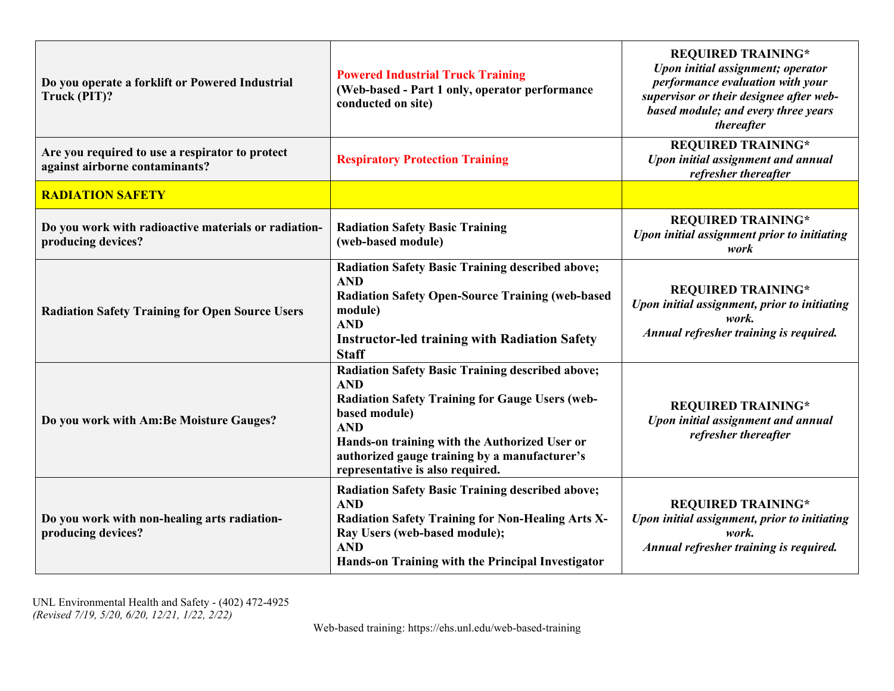| Do you operate a forklift or Powered Industrial<br>Truck (PIT)?                   | <b>Powered Industrial Truck Training</b><br>(Web-based - Part 1 only, operator performance<br>conducted on site)                                                                                                                                                                                     | <b>REQUIRED TRAINING*</b><br>Upon initial assignment; operator<br>performance evaluation with your<br>supervisor or their designee after web-<br>based module; and every three years<br>thereafter |
|-----------------------------------------------------------------------------------|------------------------------------------------------------------------------------------------------------------------------------------------------------------------------------------------------------------------------------------------------------------------------------------------------|----------------------------------------------------------------------------------------------------------------------------------------------------------------------------------------------------|
| Are you required to use a respirator to protect<br>against airborne contaminants? | <b>Respiratory Protection Training</b>                                                                                                                                                                                                                                                               | <b>REQUIRED TRAINING*</b><br>Upon initial assignment and annual<br>refresher thereafter                                                                                                            |
| <b>RADIATION SAFETY</b>                                                           |                                                                                                                                                                                                                                                                                                      |                                                                                                                                                                                                    |
| Do you work with radioactive materials or radiation-<br>producing devices?        | <b>Radiation Safety Basic Training</b><br>(web-based module)                                                                                                                                                                                                                                         | <b>REQUIRED TRAINING*</b><br>Upon initial assignment prior to initiating<br>work                                                                                                                   |
| <b>Radiation Safety Training for Open Source Users</b>                            | <b>Radiation Safety Basic Training described above;</b><br><b>AND</b><br><b>Radiation Safety Open-Source Training (web-based)</b><br>module)<br><b>AND</b><br><b>Instructor-led training with Radiation Safety</b><br><b>Staff</b>                                                                   | <b>REQUIRED TRAINING*</b><br>Upon initial assignment, prior to initiating<br>work.<br>Annual refresher training is required.                                                                       |
| Do you work with Am: Be Moisture Gauges?                                          | <b>Radiation Safety Basic Training described above;</b><br><b>AND</b><br><b>Radiation Safety Training for Gauge Users (web-</b><br>based module)<br><b>AND</b><br>Hands-on training with the Authorized User or<br>authorized gauge training by a manufacturer's<br>representative is also required. | <b>REQUIRED TRAINING*</b><br>Upon initial assignment and annual<br>refresher thereafter                                                                                                            |
| Do you work with non-healing arts radiation-<br>producing devices?                | <b>Radiation Safety Basic Training described above;</b><br><b>AND</b><br><b>Radiation Safety Training for Non-Healing Arts X-</b><br>Ray Users (web-based module);<br><b>AND</b><br>Hands-on Training with the Principal Investigator                                                                | <b>REQUIRED TRAINING*</b><br>Upon initial assignment, prior to initiating<br>work.<br>Annual refresher training is required.                                                                       |